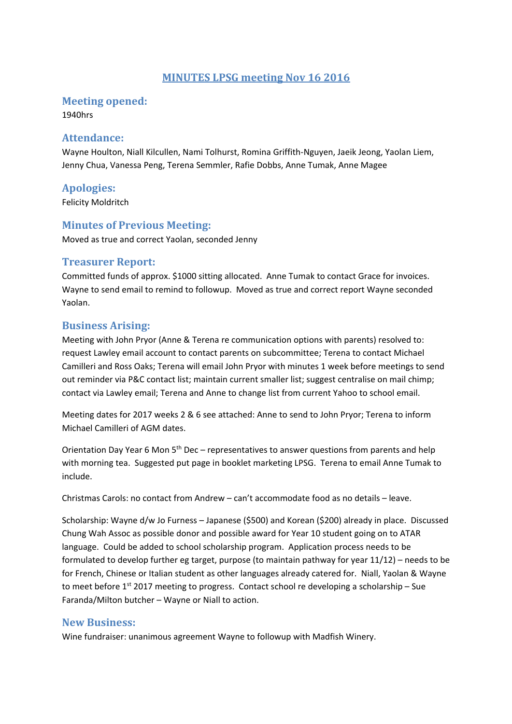### **MINUTES LPSG meeting Nov 16 2016**

**Meeting opened:** 

1940hrs

#### **Attendance:**

Wayne Houlton, Niall Kilcullen, Nami Tolhurst, Romina Griffith-Nguyen, Jaeik Jeong, Yaolan Liem, Jenny Chua, Vanessa Peng, Terena Semmler, Rafie Dobbs, Anne Tumak, Anne Magee

**Apologies:** 

Felicity Moldritch

#### **Minutes of Previous Meeting:**

Moved as true and correct Yaolan, seconded Jenny

### **Treasurer Report:**

Committed funds of approx. \$1000 sitting allocated. Anne Tumak to contact Grace for invoices. Wayne to send email to remind to followup. Moved as true and correct report Wayne seconded Yaolan.

## **Business Arising:**

Meeting with John Pryor (Anne & Terena re communication options with parents) resolved to: request Lawley email account to contact parents on subcommittee; Terena to contact Michael Camilleri and Ross Oaks; Terena will email John Pryor with minutes 1 week before meetings to send out reminder via P&C contact list; maintain current smaller list; suggest centralise on mail chimp; contact via Lawley email; Terena and Anne to change list from current Yahoo to school email.

Meeting dates for 2017 weeks 2 & 6 see attached: Anne to send to John Pryor; Terena to inform Michael Camilleri of AGM dates.

Orientation Day Year 6 Mon 5<sup>th</sup> Dec – representatives to answer questions from parents and help with morning tea. Suggested put page in booklet marketing LPSG. Terena to email Anne Tumak to include.

Christmas Carols: no contact from Andrew – can't accommodate food as no details – leave.

Scholarship: Wayne d/w Jo Furness – Japanese (\$500) and Korean (\$200) already in place. Discussed Chung Wah Assoc as possible donor and possible award for Year 10 student going on to ATAR language. Could be added to school scholarship program. Application process needs to be formulated to develop further eg target, purpose (to maintain pathway for year 11/12) – needs to be for French, Chinese or Italian student as other languages already catered for. Niall, Yaolan & Wayne to meet before  $1^{st}$  2017 meeting to progress. Contact school re developing a scholarship – Sue Faranda/Milton butcher – Wayne or Niall to action.

#### **New Business:**

Wine fundraiser: unanimous agreement Wayne to followup with Madfish Winery.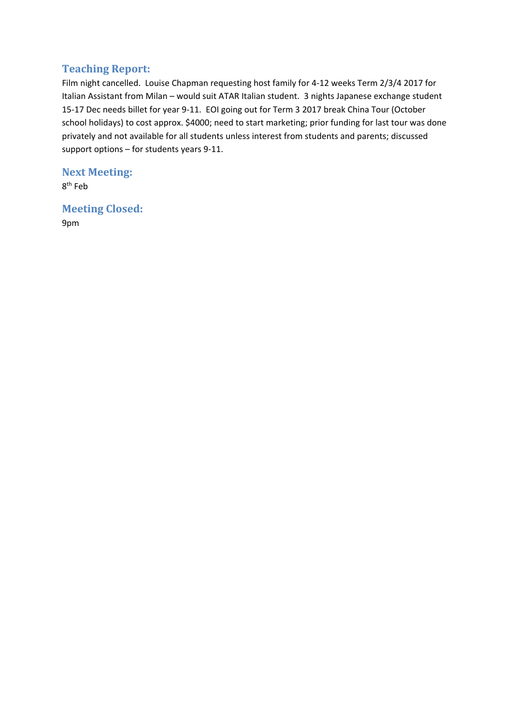## **Teaching Report:**

Film night cancelled. Louise Chapman requesting host family for 4-12 weeks Term 2/3/4 2017 for Italian Assistant from Milan – would suit ATAR Italian student. 3 nights Japanese exchange student 15-17 Dec needs billet for year 9-11. EOI going out for Term 3 2017 break China Tour (October school holidays) to cost approx. \$4000; need to start marketing; prior funding for last tour was done privately and not available for all students unless interest from students and parents; discussed support options – for students years 9-11.

**Next Meeting:**  8th Feb

**Meeting Closed:**  9pm